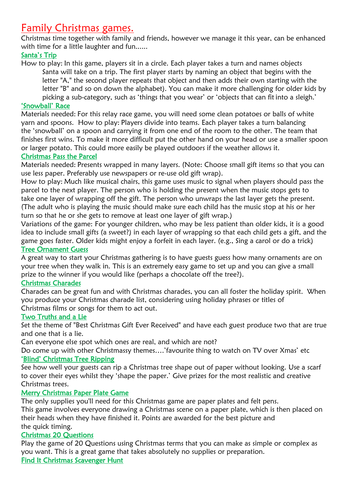# Family Christmas games.

Christmas time together with family and friends, however we manage it this year, can be enhanced with time for a little laughter and fun......

# Santa's Trip

How to play: In this game, players sit in a circle. Each player takes a turn and names objects Santa will take on a trip. The first player starts by naming an object that begins with the letter "A," the second player repeats that object and then adds their own starting with the letter "B" and so on down the alphabet). You can make it more challenging for older kids by picking a sub-category, such as 'things that you wear' or 'objects that can fit into a sleigh.'

## 'Snowball' Race

Materials needed: For this relay race game, you will need some clean potatoes or balls of white yarn and spoons. How to play: Players divide into teams. Each player takes a turn balancing the 'snowball' on a spoon and carrying it from one end of the room to the other. The team that finishes first wins. To make it more difficult put the other hand on your head or use a smaller spoon or larger potato. This could more easily be played outdoors if the weather allows it.

# Christmas Pass the Parcel

Materials needed: Presents wrapped in many layers. (Note: Choose small gift items so that you can use less paper. Preferably use newspapers or re-use old gift wrap).

How to play: Much like musical chairs, this game uses music to signal when players should pass the parcel to the next player. The person who is holding the present when the music stops gets to take one layer of wrapping off the gift. The person who unwraps the last layer gets the present. (The adult who is playing the music should make sure each child has the music stop at his or her turn so that he or she gets to remove at least one layer of gift wrap.)

Variations of the game: For younger children, who may be less patient than older kids, it is a good idea to include small gifts (a sweet?) in each layer of wrapping so that each child gets a gift, and the game goes faster. Older kids might enjoy a forfeit in each layer. (e.g., Sing a carol or do a trick) Tree [Ornament Guess](https://www.partygameideas.com/christmas-ornament-guess/)

A great way to start your Christmas gathering is to have guests guess how many ornaments are on your tree when they walk in. This is an extremely easy game to set up and you can give a small prize to the winner if you would like (perhaps a chocolate off the tree?).

## [Christmas Charades](https://www.theshabbycreekcottage.com/christmas-charades-free-party-game.html)

Charades can be great fun and with Christmas charades, you can all foster the holiday spirit. When you produce your Christmas charade list, considering using holiday phrases or titles of Christmas films or songs for them to act out.

# [Two Truths and a Lie](https://hobbylark.com/party-games/Two-Truths-and-a-Lie-Party-Games-for-Teens)

Set the theme of "Best Christmas Gift Ever Received" and have each guest produce two that are true and one that is a lie.

Can everyone else spot which ones are real, and which are not?

Do come up with other Christmassy themes….'favourite thing to watch on TV over Xmas' etc 'Blind' [Christmas Tree Ripping](http://waytoenliven.com/entertainment/events/christmas-party-games-adults/)

See how well your guests can rip a Christmas tree shape out of paper without looking. Use a scarf to cover their eyes whilst they 'shape the paper.' Give prizes for the most realistic and creative Christmas trees.

## [Merry Christmas Paper Plate Game](http://happyhomefairy.com/2011/12/07/a-super-fun-christmas-game/)

The only supplies you'll need for this Christmas game are paper plates and felt pens. This game involves everyone drawing a Christmas scene on a paper plate, which is then placed on their heads when they have finished it. Points are awarded for the best picture and the quick timing.

# [Christmas 20 Questions](https://www.partygameideas.com/christmas-20-questions/)

Play the game of 20 Questions using Christmas terms that you can make as simple or complex as you want. This is a great game that takes absolutely no supplies or preparation.

[Find It Christmas Scavenger Hunt](https://www.partygameideas.com/find-it-christmas-scavenger-hunt-relay/)